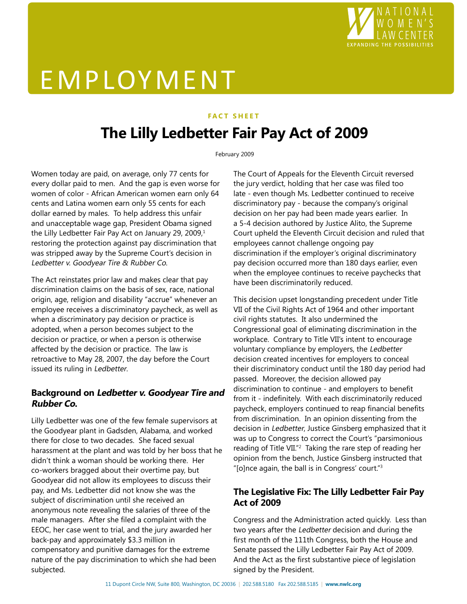

# EMPLOYMENT

#### **FACT SHEET**

# **The Lilly Ledbetter Fair Pay Act of 2009**

February 2009

Women today are paid, on average, only 77 cents for every dollar paid to men. And the gap is even worse for women of color - African American women earn only 64 cents and Latina women earn only 55 cents for each dollar earned by males. To help address this unfair and unacceptable wage gap, President Obama signed the Lilly Ledbetter Fair Pay Act on January 29, 2009, $1$ restoring the protection against pay discrimination that was stripped away by the Supreme Court's decision in Ledbetter v. Goodyear Tire & Rubber Co.

The Act reinstates prior law and makes clear that pay discrimination claims on the basis of sex, race, national origin, age, religion and disability "accrue" whenever an employee receives a discriminatory paycheck, as well as when a discriminatory pay decision or practice is adopted, when a person becomes subject to the decision or practice, or when a person is otherwise affected by the decision or practice. The law is retroactive to May 28, 2007, the day before the Court issued its ruling in Ledbetter.

# **Background on Ledbetter v. Goodyear Tire and Rubber Co.**

Lilly Ledbetter was one of the few female supervisors at the Goodyear plant in Gadsden, Alabama, and worked there for close to two decades. She faced sexual harassment at the plant and was told by her boss that he didn't think a woman should be working there. Her co-workers bragged about their overtime pay, but Goodyear did not allow its employees to discuss their pay, and Ms. Ledbetter did not know she was the subject of discrimination until she received an anonymous note revealing the salaries of three of the male managers. After she filed a complaint with the EEOC, her case went to trial, and the jury awarded her back-pay and approximately \$3.3 million in compensatory and punitive damages for the extreme nature of the pay discrimination to which she had been subjected.

The Court of Appeals for the Eleventh Circuit reversed the jury verdict, holding that her case was filed too late - even though Ms. Ledbetter continued to receive discriminatory pay - because the company's original decision on her pay had been made years earlier. In a 5-4 decision authored by Justice Alito, the Supreme Court upheld the Eleventh Circuit decision and ruled that employees cannot challenge ongoing pay discrimination if the employer's original discriminatory pay decision occurred more than 180 days earlier, even when the employee continues to receive paychecks that have been discriminatorily reduced.

This decision upset longstanding precedent under Title VII of the Civil Rights Act of 1964 and other important civil rights statutes. It also undermined the Congressional goal of eliminating discrimination in the workplace. Contrary to Title VII's intent to encourage voluntary compliance by employers, the Ledbetter decision created incentives for employers to conceal their discriminatory conduct until the 180 day period had passed. Moreover, the decision allowed pay discrimination to continue - and employers to benefit from it - indefinitely. With each discriminatorily reduced paycheck, employers continued to reap financial benefits from discrimination. In an opinion dissenting from the decision in Ledbetter, Justice Ginsberg emphasized that it was up to Congress to correct the Court's "parsimonious reading of Title VII."<sup>2</sup> Taking the rare step of reading her opinion from the bench, Justice Ginsberg instructed that "[o]nce again, the ball is in Congress' court."3

# **The Legislative Fix: The Lilly Ledbetter Fair Pay Act of 2009**

Congress and the Administration acted quickly. Less than two years after the Ledbetter decision and during the first month of the 111th Congress, both the House and Senate passed the Lilly Ledbetter Fair Pay Act of 2009. And the Act as the first substantive piece of legislation signed by the President.